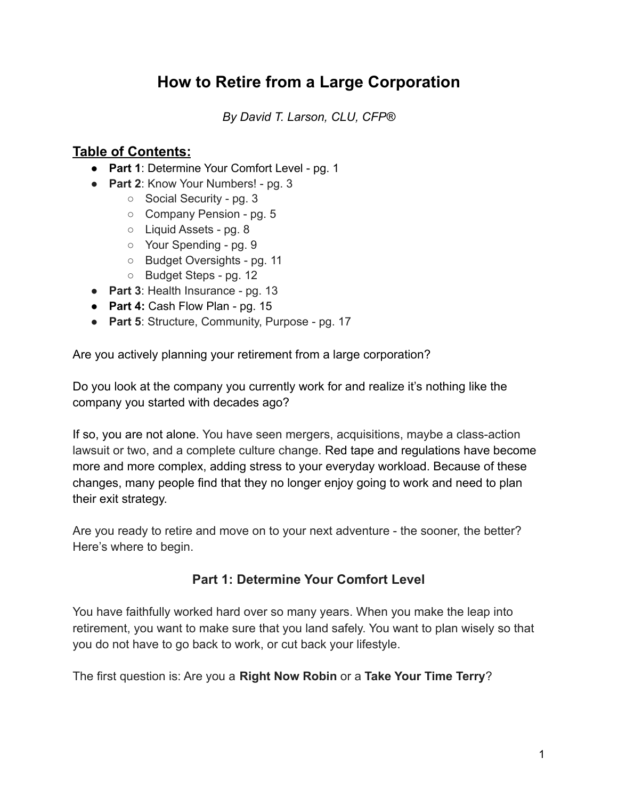# **How to Retire from a Large Corporation**

*By David T. Larson, CLU, CFP®*

## **Table of Contents:**

- **Part 1**: Determine Your Comfort Level pg. 1
- **Part 2**: Know Your Numbers! pg. 3
	- Social Security pg. 3
	- Company Pension pg. 5
	- Liquid Assets pg. 8
	- Your Spending pg. 9
	- Budget Oversights pg. 11
	- Budget Steps pg. 12
- **Part 3**: Health Insurance pg. 13
- **Part 4:** Cash Flow Plan pg. 15
- **Part 5**: Structure, Community, Purpose pg. 17

Are you actively planning your retirement from a large corporation?

Do you look at the company you currently work for and realize it's nothing like the company you started with decades ago?

If so, you are not alone. You have seen mergers, acquisitions, maybe a class-action lawsuit or two, and a complete culture change. Red tape and regulations have become more and more complex, adding stress to your everyday workload. Because of these changes, many people find that they no longer enjoy going to work and need to plan their exit strategy.

Are you ready to retire and move on to your next adventure - the sooner, the better? Here's where to begin.

## **Part 1: Determine Your Comfort Level**

You have faithfully worked hard over so many years. When you make the leap into retirement, you want to make sure that you land safely. You want to plan wisely so that you do not have to go back to work, or cut back your lifestyle.

The first question is: Are you a **Right Now Robin** or a **Take Your Time Terry**?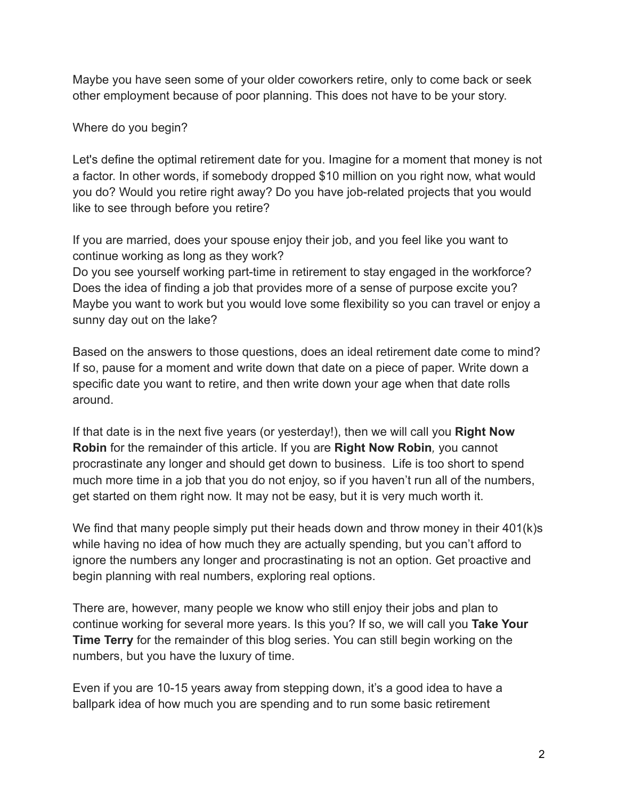Maybe you have seen some of your older coworkers retire, only to come back or seek other employment because of poor planning. This does not have to be your story.

Where do you begin?

Let's define the optimal retirement date for you. Imagine for a moment that money is not a factor. In other words, if somebody dropped \$10 million on you right now, what would you do? Would you retire right away? Do you have job-related projects that you would like to see through before you retire?

If you are married, does your spouse enjoy their job, and you feel like you want to continue working as long as they work?

Do you see yourself working part-time in retirement to stay engaged in the workforce? Does the idea of finding a job that provides more of a sense of purpose excite you? Maybe you want to work but you would love some flexibility so you can travel or enjoy a sunny day out on the lake?

Based on the answers to those questions, does an ideal retirement date come to mind? If so, pause for a moment and write down that date on a piece of paper. Write down a specific date you want to retire, and then write down your age when that date rolls around.

If that date is in the next five years (or yesterday!), then we will call you **Right Now Robin** for the remainder of this article. If you are **Right Now Robin***,* you cannot procrastinate any longer and should get down to business. Life is too short to spend much more time in a job that you do not enjoy, so if you haven't run all of the numbers, get started on them right now. It may not be easy, but it is very much worth it.

We find that many people simply put their heads down and throw money in their 401(k)s while having no idea of how much they are actually spending, but you can't afford to ignore the numbers any longer and procrastinating is not an option. Get proactive and begin planning with real numbers, exploring real options.

There are, however, many people we know who still enjoy their jobs and plan to continue working for several more years. Is this you? If so, we will call you **Take Your Time Terry** for the remainder of this blog series. You can still begin working on the numbers, but you have the luxury of time.

Even if you are 10-15 years away from stepping down, it's a good idea to have a ballpark idea of how much you are spending and to run some basic retirement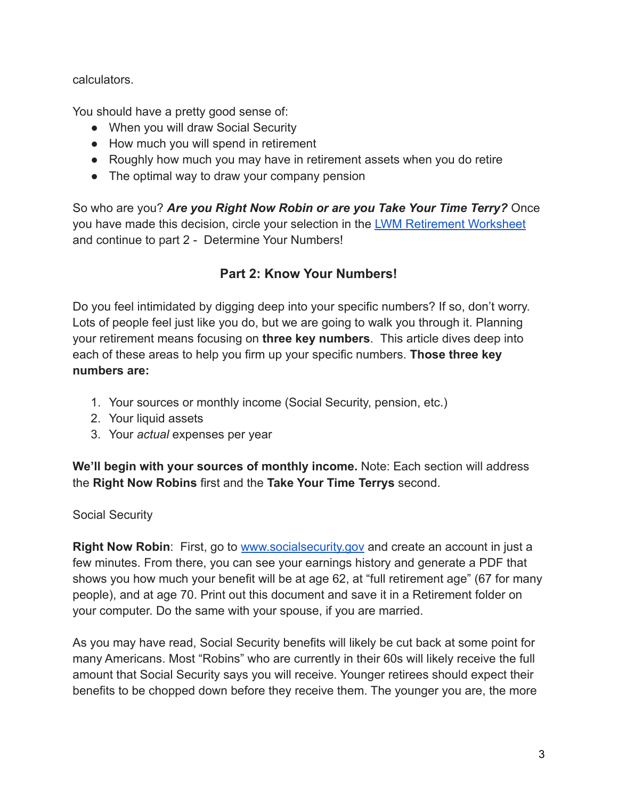calculators.

You should have a pretty good sense of:

- When you will draw Social Security
- How much you will spend in retirement
- Roughly how much you may have in retirement assets when you do retire
- The optimal way to draw your company pension

So who are you? *Are you Right Now Robin or are you Take Your Time Terry?* Once you have made this decision, circle your selection in the [LWM Retirement Worksheet](https://www.larsonwealthmgt.com/files/lwm_retirement_worksheet_-_pdf_-_2022.pdf) and continue to part 2 - Determine Your Numbers!

## **Part 2: Know Your Numbers!**

Do you feel intimidated by digging deep into your specific numbers? If so, don't worry. Lots of people feel just like you do, but we are going to walk you through it. Planning your retirement means focusing on **three key numbers**. This article dives deep into each of these areas to help you firm up your specific numbers. **Those three key numbers are:**

- 1. Your sources or monthly income (Social Security, pension, etc.)
- 2. Your liquid assets
- 3. Your *actual* expenses per year

**We'll begin with your sources of monthly income.** Note: Each section will address the **Right Now Robins** first and the **Take Your Time Terrys** second.

Social Security

**Right Now Robin:** First, go to [www.socialsecurity.gov](http://www.socialsecurity.gov) and create an account in just a few minutes. From there, you can see your earnings history and generate a PDF that shows you how much your benefit will be at age 62, at "full retirement age" (67 for many people), and at age 70. Print out this document and save it in a Retirement folder on your computer. Do the same with your spouse, if you are married.

As you may have read, Social Security benefits will likely be cut back at some point for many Americans. Most "Robins" who are currently in their 60s will likely receive the full amount that Social Security says you will receive. Younger retirees should expect their benefits to be chopped down before they receive them. The younger you are, the more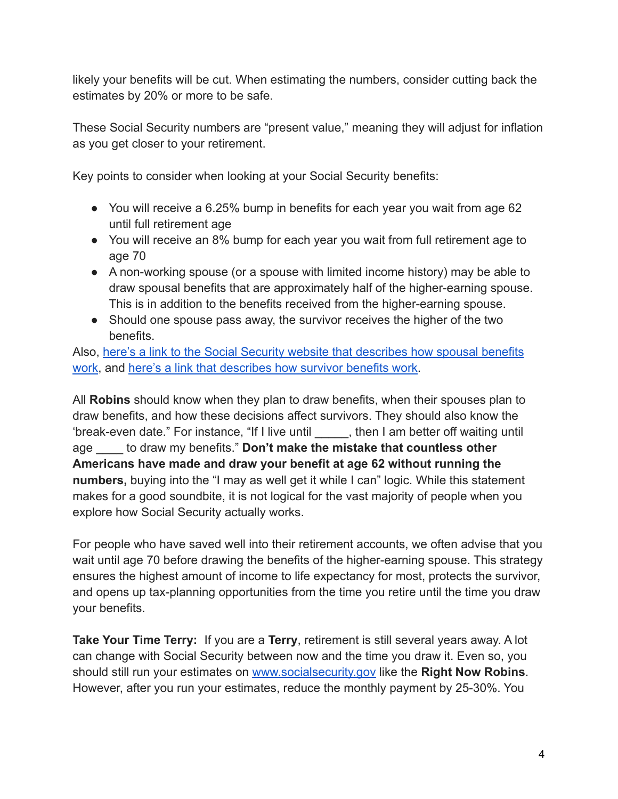likely your benefits will be cut. When estimating the numbers, consider cutting back the estimates by 20% or more to be safe.

These Social Security numbers are "present value," meaning they will adjust for inflation as you get closer to your retirement.

Key points to consider when looking at your Social Security benefits:

- You will receive a 6.25% bump in benefits for each year you wait from age 62 until full retirement age
- You will receive an 8% bump for each year you wait from full retirement age to age 70
- A non-working spouse (or a spouse with limited income history) may be able to draw spousal benefits that are approximately half of the higher-earning spouse. This is in addition to the benefits received from the higher-earning spouse.
- Should one spouse pass away, the survivor receives the higher of the two benefits.

Also, [here's a link to the Social Security website](https://www.ssa.gov/oact/quickcalc/spouse.html) that describes how spousal benefits [work](https://www.ssa.gov/oact/quickcalc/spouse.html), and [here's a link that describes how survivor](https://www.ssa.gov/benefits/survivors/ifyou.html) benefits work.

All **Robins** should know when they plan to draw benefits, when their spouses plan to draw benefits, and how these decisions affect survivors. They should also know the 'break-even date." For instance, "If I live until \_\_\_\_\_, then I am better off waiting until age \_\_\_\_ to draw my benefits." **Don't make the mistake that countless other Americans have made and draw your benefit at age 62 without running the numbers,** buying into the "I may as well get it while I can" logic. While this statement makes for a good soundbite, it is not logical for the vast majority of people when you explore how Social Security actually works.

For people who have saved well into their retirement accounts, we often advise that you wait until age 70 before drawing the benefits of the higher-earning spouse. This strategy ensures the highest amount of income to life expectancy for most, protects the survivor, and opens up tax-planning opportunities from the time you retire until the time you draw your benefits.

**Take Your Time Terry:** If you are a **Terry**, retirement is still several years away. A lot can change with Social Security between now and the time you draw it. Even so, you should still run your estimates on [www.socialsecurity.gov](http://www.socialsecurity.gov) like the **Right Now Robins**. However, after you run your estimates, reduce the monthly payment by 25-30%. You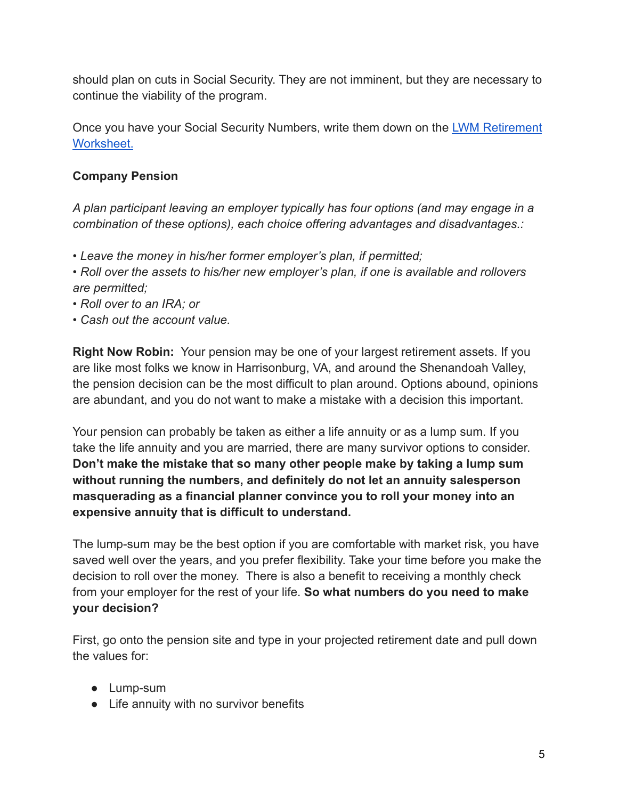should plan on cuts in Social Security. They are not imminent, but they are necessary to continue the viability of the program.

Once you have your Social Security Numbers, write them down on the [LWM Retirement](https://www.larsonwealthmgt.com/files/lwm_retirement_worksheet_-_pdf_-_2022.pdf) [Worksheet.](https://www.larsonwealthmgt.com/files/lwm_retirement_worksheet_-_pdf_-_2022.pdf)

## **Company Pension**

*A plan participant leaving an employer typically has four options (and may engage in a combination of these options), each choice offering advantages and disadvantages.:*

*• Leave the money in his/her former employer's plan, if permitted;*

*• Roll over the assets to his/her new employer's plan, if one is available and rollovers are permitted;*

- *Roll over to an IRA; or*
- *Cash out the account value.*

**Right Now Robin:** Your pension may be one of your largest retirement assets. If you are like most folks we know in Harrisonburg, VA, and around the Shenandoah Valley, the pension decision can be the most difficult to plan around. Options abound, opinions are abundant, and you do not want to make a mistake with a decision this important.

Your pension can probably be taken as either a life annuity or as a lump sum. If you take the life annuity and you are married, there are many survivor options to consider. **Don't make the mistake that so many other people make by taking a lump sum without running the numbers, and definitely do not let an annuity salesperson masquerading as a financial planner convince you to roll your money into an expensive annuity that is difficult to understand.**

The lump-sum may be the best option if you are comfortable with market risk, you have saved well over the years, and you prefer flexibility. Take your time before you make the decision to roll over the money. There is also a benefit to receiving a monthly check from your employer for the rest of your life. **So what numbers do you need to make your decision?**

First, go onto the pension site and type in your projected retirement date and pull down the values for:

- Lump-sum
- Life annuity with no survivor benefits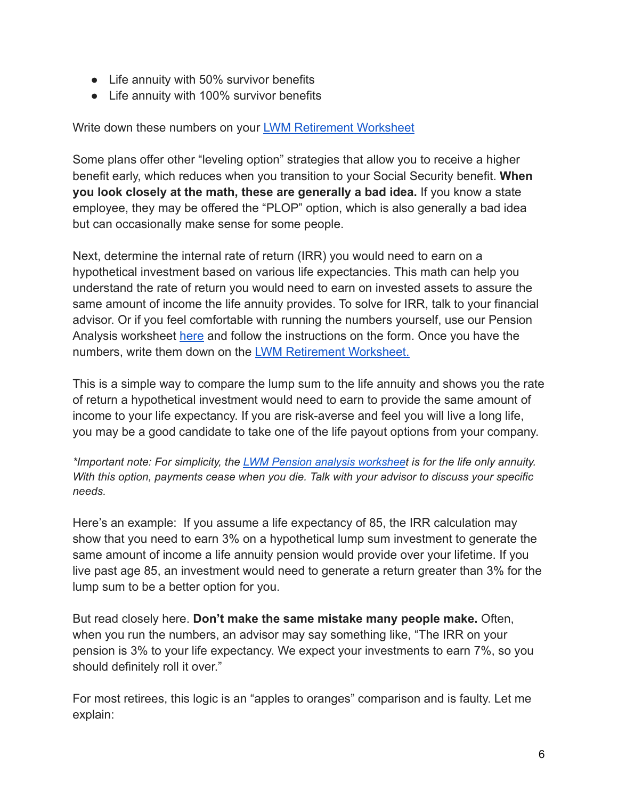- Life annuity with 50% survivor benefits
- Life annuity with 100% survivor benefits

Write down these numbers on your [LWM Retirement Worksheet](https://www.larsonwealthmgt.com/files/lwm_retirement_worksheet_-_pdf_-_2022.pdf)

Some plans offer other "leveling option" strategies that allow you to receive a higher benefit early, which reduces when you transition to your Social Security benefit. **When you look closely at the math, these are generally a bad idea.** If you know a state employee, they may be offered the "PLOP" option, which is also generally a bad idea but can occasionally make sense for some people.

Next, determine the internal rate of return (IRR) you would need to earn on a hypothetical investment based on various life expectancies. This math can help you understand the rate of return you would need to earn on invested assets to assure the same amount of income the life annuity provides. To solve for IRR, talk to your financial advisor. Or if you feel comfortable with running the numbers yourself, use our Pension Analysis worksheet [here](https://www.larsonwealthmgt.com/files/pension_ror_lwm_2022.xlsx) and follow the instructions on the form. Once you have the numbers, write them down on the [LWM Retirement Worksheet.](https://www.larsonwealthmgt.com/files/lwm_retirement_worksheet_-_pdf_-_2022.pdf)

This is a simple way to compare the lump sum to the life annuity and shows you the rate of return a hypothetical investment would need to earn to provide the same amount of income to your life expectancy. If you are risk-averse and feel you will live a long life, you may be a good candidate to take one of the life payout options from your company.

*\*Important note: For simplicity, the LWM Pension analysis [worksheet](https://www.larsonwealthmgt.com/files/pension_ror_lwm_2022.xlsx) is for the life only annuity. With this option, payments cease when you die. Talk with your advisor to discuss your specific needs.*

Here's an example: If you assume a life expectancy of 85, the IRR calculation may show that you need to earn 3% on a hypothetical lump sum investment to generate the same amount of income a life annuity pension would provide over your lifetime. If you live past age 85, an investment would need to generate a return greater than 3% for the lump sum to be a better option for you.

But read closely here. **Don't make the same mistake many people make.** Often, when you run the numbers, an advisor may say something like, "The IRR on your pension is 3% to your life expectancy. We expect your investments to earn 7%, so you should definitely roll it over."

For most retirees, this logic is an "apples to oranges" comparison and is faulty. Let me explain: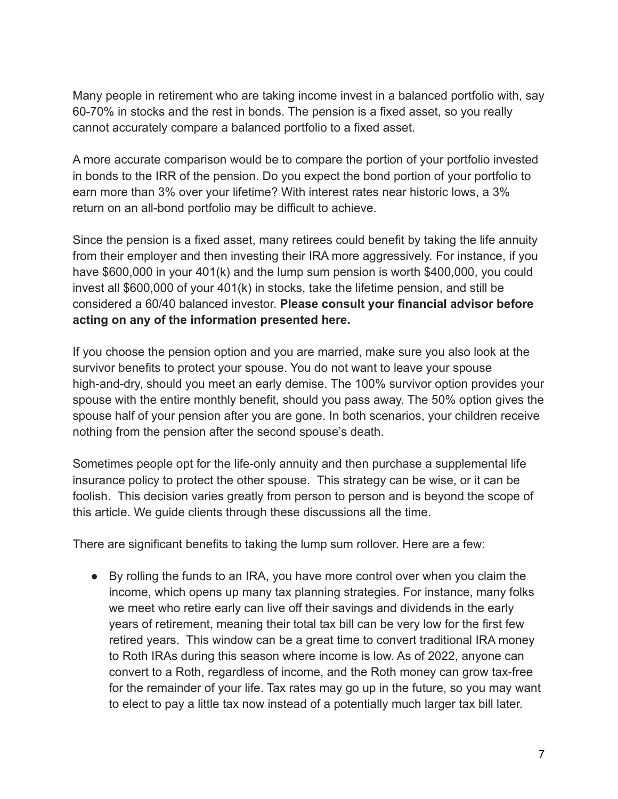Many people in retirement who are taking income invest in a balanced portfolio with, say 60-70% in stocks and the rest in bonds. The pension is a fixed asset, so you really cannot accurately compare a balanced portfolio to a fixed asset.

A more accurate comparison would be to compare the portion of your portfolio invested in bonds to the IRR of the pension. Do you expect the bond portion of your portfolio to earn more than 3% over your lifetime? With interest rates near historic lows, a 3% return on an all-bond portfolio may be difficult to achieve.

Since the pension is a fixed asset, many retirees could benefit by taking the life annuity from their employer and then investing their IRA more aggressively. For instance, if you have \$600,000 in your 401(k) and the lump sum pension is worth \$400,000, you could invest all \$600,000 of your 401(k) in stocks, take the lifetime pension, and still be considered a 60/40 balanced investor. **Please consult your financial advisor before acting on any of the information presented here.**

If you choose the pension option and you are married, make sure you also look at the survivor benefits to protect your spouse. You do not want to leave your spouse high-and-dry, should you meet an early demise. The 100% survivor option provides your spouse with the entire monthly benefit, should you pass away. The 50% option gives the spouse half of your pension after you are gone. In both scenarios, your children receive nothing from the pension after the second spouse's death.

Sometimes people opt for the life-only annuity and then purchase a supplemental life insurance policy to protect the other spouse. This strategy can be wise, or it can be foolish. This decision varies greatly from person to person and is beyond the scope of this article. We guide clients through these discussions all the time.

There are significant benefits to taking the lump sum rollover. Here are a few:

● By rolling the funds to an IRA, you have more control over when you claim the income, which opens up many tax planning strategies. For instance, many folks we meet who retire early can live off their savings and dividends in the early years of retirement, meaning their total tax bill can be very low for the first few retired years. This window can be a great time to convert traditional IRA money to Roth IRAs during this season where income is low. As of 2022, anyone can convert to a Roth, regardless of income, and the Roth money can grow tax-free for the remainder of your life. Tax rates may go up in the future, so you may want to elect to pay a little tax now instead of a potentially much larger tax bill later.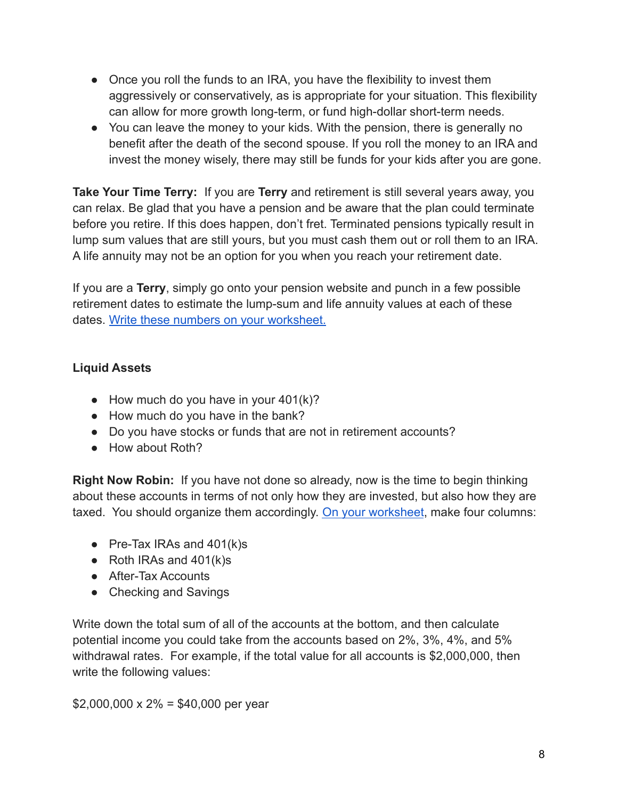- Once you roll the funds to an IRA, you have the flexibility to invest them aggressively or conservatively, as is appropriate for your situation. This flexibility can allow for more growth long-term, or fund high-dollar short-term needs.
- You can leave the money to your kids. With the pension, there is generally no benefit after the death of the second spouse. If you roll the money to an IRA and invest the money wisely, there may still be funds for your kids after you are gone.

**Take Your Time Terry:** If you are **Terry** and retirement is still several years away, you can relax. Be glad that you have a pension and be aware that the plan could terminate before you retire. If this does happen, don't fret. Terminated pensions typically result in lump sum values that are still yours, but you must cash them out or roll them to an IRA. A life annuity may not be an option for you when you reach your retirement date.

If you are a **Terry**, simply go onto your pension website and punch in a few possible retirement dates to estimate the lump-sum and life annuity values at each of these dates. [Write these numbers on your worksheet.](https://www.larsonwealthmgt.com/files/lwm_retirement_worksheet_-_pdf_-_2022.pdf)

## **Liquid Assets**

- $\bullet$  How much do you have in your 401(k)?
- How much do you have in the bank?
- Do you have stocks or funds that are not in retirement accounts?
- How about Roth?

**Right Now Robin:** If you have not done so already, now is the time to begin thinking about these accounts in terms of not only how they are invested, but also how they are taxed. You should organize them accordingly. On your [worksheet](https://www.larsonwealthmgt.com/files/lwm_retirement_worksheet_-_pdf_-_2022.pdf), make four columns:

- Pre-Tax IRAs and  $401(k)s$
- $\bullet$  Roth IRAs and 401(k)s
- After-Tax Accounts
- Checking and Savings

Write down the total sum of all of the accounts at the bottom, and then calculate potential income you could take from the accounts based on 2%, 3%, 4%, and 5% withdrawal rates. For example, if the total value for all accounts is \$2,000,000, then write the following values:

 $$2,000,000 \times 2\% = $40,000$  per year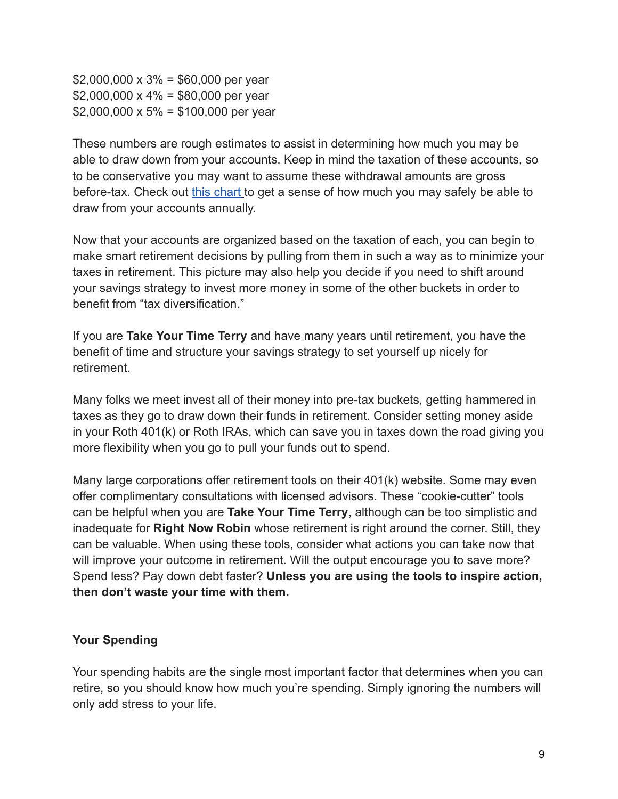$$2,000,000 \times 3\% = $60,000$  per year  $$2,000,000 \times 4\% = $80,000$  per year  $$2,000,000 \times 5\% = $100,000$  per year

These numbers are rough estimates to assist in determining how much you may be able to draw down from your accounts. Keep in mind the taxation of these accounts, so to be conservative you may want to assume these withdrawal amounts are gross before-tax. Check out [this chart](https://larsonwealthmgt.us1.advisor.ws/files/monte_carlo_hard_card.pdf) to get a sense of how much you may safely be able to draw from your accounts annually.

Now that your accounts are organized based on the taxation of each, you can begin to make smart retirement decisions by pulling from them in such a way as to minimize your taxes in retirement. This picture may also help you decide if you need to shift around your savings strategy to invest more money in some of the other buckets in order to benefit from "tax diversification."

If you are **Take Your Time Terry** and have many years until retirement, you have the benefit of time and structure your savings strategy to set yourself up nicely for retirement.

Many folks we meet invest all of their money into pre-tax buckets, getting hammered in taxes as they go to draw down their funds in retirement. Consider setting money aside in your Roth 401(k) or Roth IRAs, which can save you in taxes down the road giving you more flexibility when you go to pull your funds out to spend.

Many large corporations offer retirement tools on their 401(k) website. Some may even offer complimentary consultations with licensed advisors. These "cookie-cutter" tools can be helpful when you are **Take Your Time Terry**, although can be too simplistic and inadequate for **Right Now Robin** whose retirement is right around the corner. Still, they can be valuable. When using these tools, consider what actions you can take now that will improve your outcome in retirement. Will the output encourage you to save more? Spend less? Pay down debt faster? **Unless you are using the tools to inspire action, then don't waste your time with them.**

#### **Your Spending**

Your spending habits are the single most important factor that determines when you can retire, so you should know how much you're spending. Simply ignoring the numbers will only add stress to your life.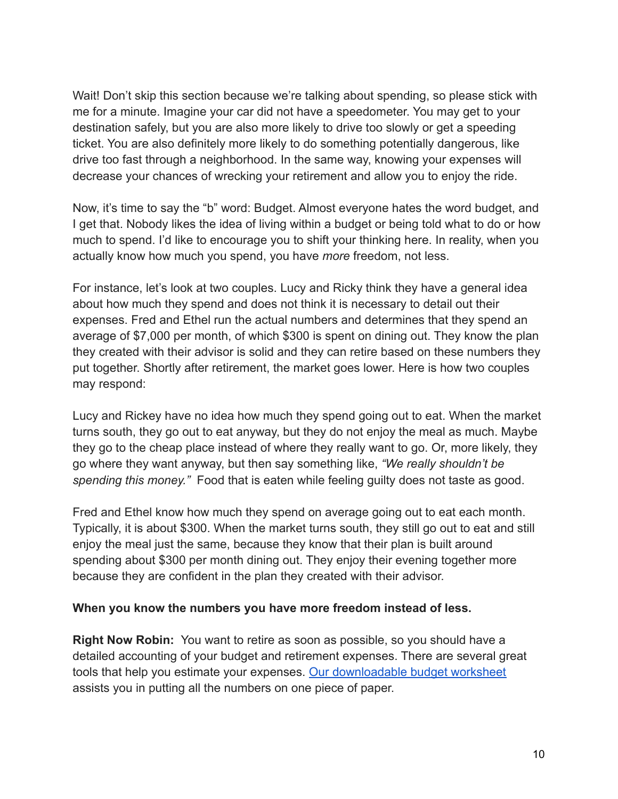Wait! Don't skip this section because we're talking about spending, so please stick with me for a minute. Imagine your car did not have a speedometer. You may get to your destination safely, but you are also more likely to drive too slowly or get a speeding ticket. You are also definitely more likely to do something potentially dangerous, like drive too fast through a neighborhood. In the same way, knowing your expenses will decrease your chances of wrecking your retirement and allow you to enjoy the ride.

Now, it's time to say the "b" word: Budget. Almost everyone hates the word budget, and I get that. Nobody likes the idea of living within a budget or being told what to do or how much to spend. I'd like to encourage you to shift your thinking here. In reality, when you actually know how much you spend, you have *more* freedom, not less.

For instance, let's look at two couples. Lucy and Ricky think they have a general idea about how much they spend and does not think it is necessary to detail out their expenses. Fred and Ethel run the actual numbers and determines that they spend an average of \$7,000 per month, of which \$300 is spent on dining out. They know the plan they created with their advisor is solid and they can retire based on these numbers they put together. Shortly after retirement, the market goes lower. Here is how two couples may respond:

Lucy and Rickey have no idea how much they spend going out to eat. When the market turns south, they go out to eat anyway, but they do not enjoy the meal as much. Maybe they go to the cheap place instead of where they really want to go. Or, more likely, they go where they want anyway, but then say something like, *"We really shouldn't be spending this money."* Food that is eaten while feeling guilty does not taste as good.

Fred and Ethel know how much they spend on average going out to eat each month. Typically, it is about \$300. When the market turns south, they still go out to eat and still enjoy the meal just the same, because they know that their plan is built around spending about \$300 per month dining out. They enjoy their evening together more because they are confident in the plan they created with their advisor.

#### **When you know the numbers you have more freedom instead of less.**

**Right Now Robin:** You want to retire as soon as possible, so you should have a detailed accounting of your budget and retirement expenses. There are several great tools that help you estimate your expenses. [Our downloadable](https://www.larsonwealthmgt.com/files/lwm_effortless_budget_worksheet_2.xlsx) budget worksheet assists you in putting all the numbers on one piece of paper.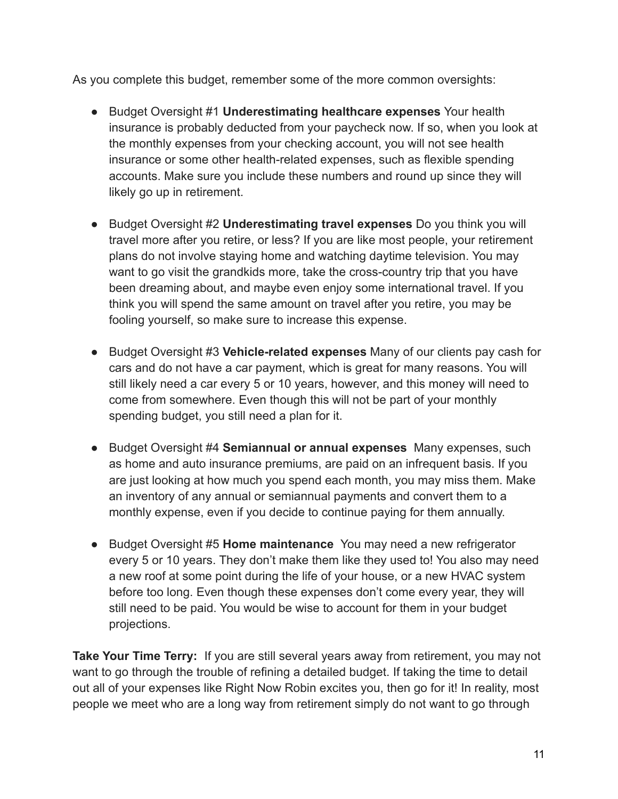As you complete this budget, remember some of the more common oversights:

- Budget Oversight #1 **Underestimating healthcare expenses** Your health insurance is probably deducted from your paycheck now. If so, when you look at the monthly expenses from your checking account, you will not see health insurance or some other health-related expenses, such as flexible spending accounts. Make sure you include these numbers and round up since they will likely go up in retirement.
- Budget Oversight #2 **Underestimating travel expenses** Do you think you will travel more after you retire, or less? If you are like most people, your retirement plans do not involve staying home and watching daytime television. You may want to go visit the grandkids more, take the cross-country trip that you have been dreaming about, and maybe even enjoy some international travel. If you think you will spend the same amount on travel after you retire, you may be fooling yourself, so make sure to increase this expense.
- Budget Oversight #3 **Vehicle-related expenses** Many of our clients pay cash for cars and do not have a car payment, which is great for many reasons. You will still likely need a car every 5 or 10 years, however, and this money will need to come from somewhere. Even though this will not be part of your monthly spending budget, you still need a plan for it.
- Budget Oversight #4 **Semiannual or annual expenses** Many expenses, such as home and auto insurance premiums, are paid on an infrequent basis. If you are just looking at how much you spend each month, you may miss them. Make an inventory of any annual or semiannual payments and convert them to a monthly expense, even if you decide to continue paying for them annually.
- Budget Oversight #5 **Home maintenance** You may need a new refrigerator every 5 or 10 years. They don't make them like they used to! You also may need a new roof at some point during the life of your house, or a new HVAC system before too long. Even though these expenses don't come every year, they will still need to be paid. You would be wise to account for them in your budget projections.

**Take Your Time Terry:** If you are still several years away from retirement, you may not want to go through the trouble of refining a detailed budget. If taking the time to detail out all of your expenses like Right Now Robin excites you, then go for it! In reality, most people we meet who are a long way from retirement simply do not want to go through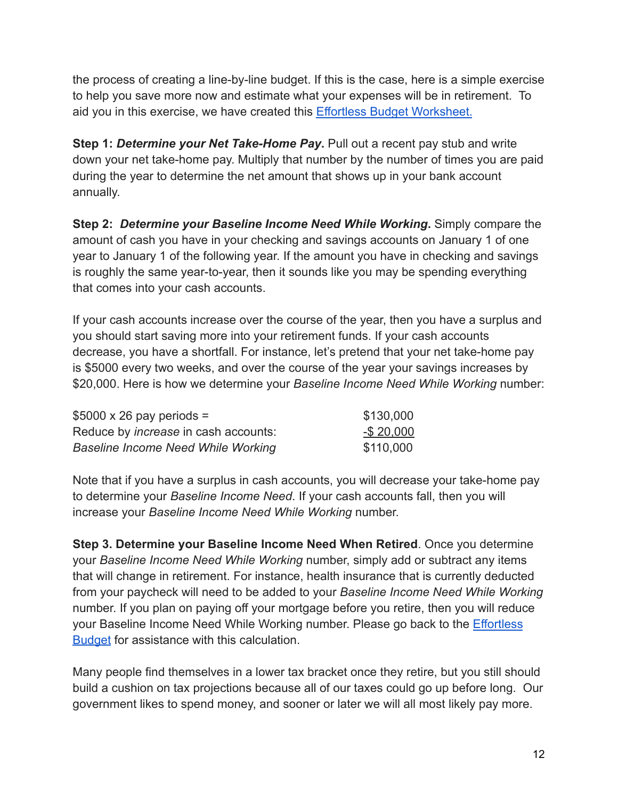the process of creating a line-by-line budget. If this is the case, here is a simple exercise to help you save more now and estimate what your expenses will be in retirement. To aid you in this exercise, we have created this Effortless [Budget Worksheet.](https://www.larsonwealthmgt.com/files/lwm_effortless_budget_worksheet_2.xlsx)

**Step 1:** *Determine your Net Take-Home Pay***.** Pull out a recent pay stub and write down your net take-home pay. Multiply that number by the number of times you are paid during the year to determine the net amount that shows up in your bank account annually.

**Step 2:** *Determine your Baseline Income Need While Working***.** Simply compare the amount of cash you have in your checking and savings accounts on January 1 of one year to January 1 of the following year. If the amount you have in checking and savings is roughly the same year-to-year, then it sounds like you may be spending everything that comes into your cash accounts.

If your cash accounts increase over the course of the year, then you have a surplus and you should start saving more into your retirement funds. If your cash accounts decrease, you have a shortfall. For instance, let's pretend that your net take-home pay is \$5000 every two weeks, and over the course of the year your savings increases by \$20,000. Here is how we determine your *Baseline Income Need While Working* number:

| $$5000 \times 26$ pay periods =             | \$130,000     |
|---------------------------------------------|---------------|
| Reduce by <i>increase</i> in cash accounts: | $-$ \$ 20,000 |
| <b>Baseline Income Need While Working</b>   | \$110,000     |

Note that if you have a surplus in cash accounts, you will decrease your take-home pay to determine your *Baseline Income Need*. If your cash accounts fall, then you will increase your *Baseline Income Need While Working* number.

**Step 3. Determine your Baseline Income Need When Retired**. Once you determine your *Baseline Income Need While Working* number, simply add or subtract any items that will change in retirement. For instance, health insurance that is currently deducted from your paycheck will need to be added to your *Baseline Income Need While Working* number. If you plan on paying off your mortgage before you retire, then you will reduce your Baseline Income Need While Working number. Please go back to the [Effortless](https://www.larsonwealthmgt.com/files/lwm_effortless_budget_worksheet_2.xlsx) **[Budget](https://www.larsonwealthmgt.com/files/lwm_effortless_budget_worksheet_2.xlsx)** for assistance with this calculation.

Many people find themselves in a lower tax bracket once they retire, but you still should build a cushion on tax projections because all of our taxes could go up before long. Our government likes to spend money, and sooner or later we will all most likely pay more.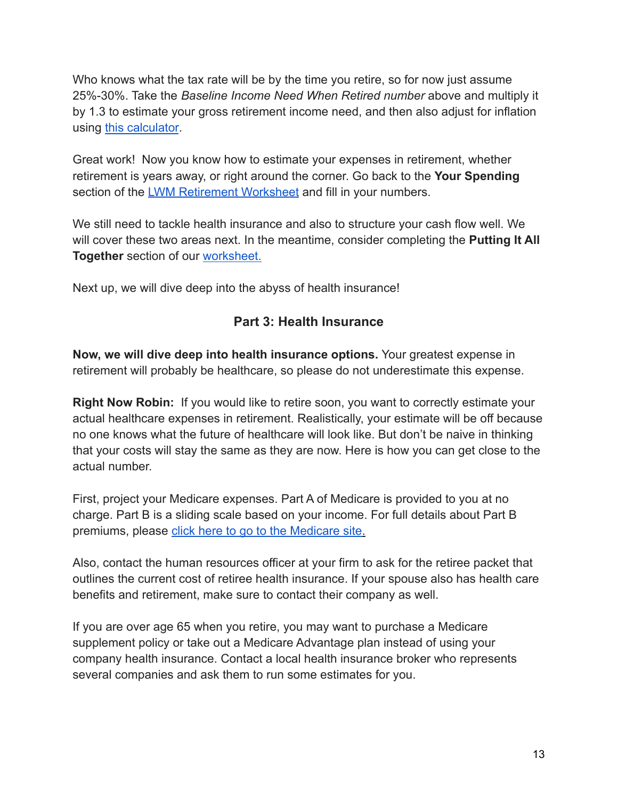Who knows what the tax rate will be by the time you retire, so for now just assume 25%-30%. Take the *Baseline Income Need When Retired number* above and multiply it by 1.3 to estimate your gross retirement income need, and then also adjust for inflation using [this calculator](https://www.calculator.net/inflation-calculator.html).

Great work! Now you know how to estimate your expenses in retirement, whether retirement is years away, or right around the corner. Go back to the **Your Spending** section of the [LWM Retirement Worksheet](https://www.larsonwealthmgt.com/files/lwm_retirement_worksheet_-_pdf_-_2022.pdf) and fill in your numbers.

We still need to tackle health insurance and also to structure your cash flow well. We will cover these two areas next. In the meantime, consider completing the **Putting It All Together** section of our [worksheet.](https://www.larsonwealthmgt.com/files/lwm_retirement_worksheet_-_pdf_-_2022.pdf)

Next up, we will dive deep into the abyss of health insurance!

## **Part 3: Health Insurance**

**Now, we will dive deep into health insurance options.** Your greatest expense in retirement will probably be healthcare, so please do not underestimate this expense.

**Right Now Robin:** If you would like to retire soon, you want to correctly estimate your actual healthcare expenses in retirement. Realistically, your estimate will be off because no one knows what the future of healthcare will look like. But don't be naive in thinking that your costs will stay the same as they are now. Here is how you can get close to the actual number.

First, project your Medicare expenses. Part A of Medicare is provided to you at no charge. Part B is a sliding scale based on your income. For full details about Part B premiums, please [click here to go to the Medicare](https://www.medicare.gov/your-medicare-costs/part-b-costs) site.

Also, contact the human resources officer at your firm to ask for the retiree packet that outlines the current cost of retiree health insurance. If your spouse also has health care benefits and retirement, make sure to contact their company as well.

If you are over age 65 when you retire, you may want to purchase a Medicare supplement policy or take out a Medicare Advantage plan instead of using your company health insurance. Contact a local health insurance broker who represents several companies and ask them to run some estimates for you.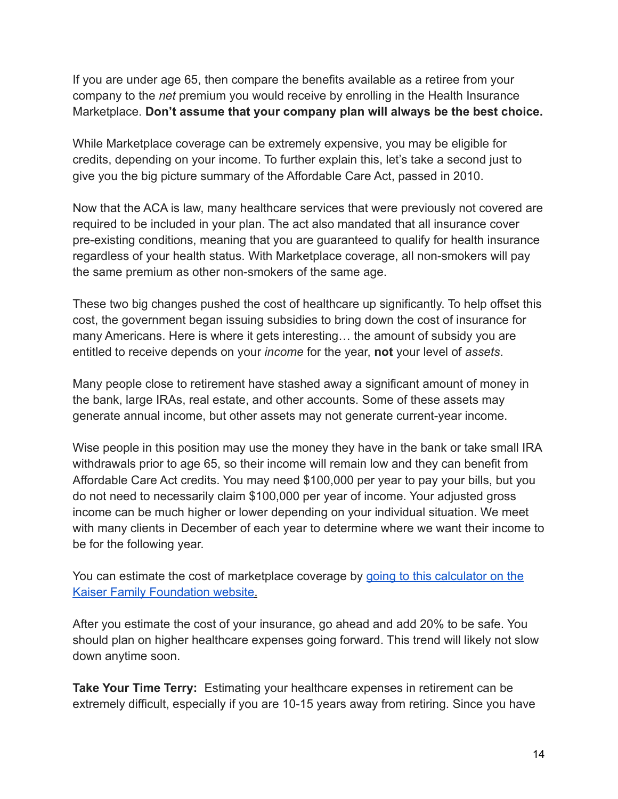If you are under age 65, then compare the benefits available as a retiree from your company to the *net* premium you would receive by enrolling in the Health Insurance Marketplace. **Don't assume that your company plan will always be the best choice.**

While Marketplace coverage can be extremely expensive, you may be eligible for credits, depending on your income. To further explain this, let's take a second just to give you the big picture summary of the Affordable Care Act, passed in 2010.

Now that the ACA is law, many healthcare services that were previously not covered are required to be included in your plan. The act also mandated that all insurance cover pre-existing conditions, meaning that you are guaranteed to qualify for health insurance regardless of your health status. With Marketplace coverage, all non-smokers will pay the same premium as other non-smokers of the same age.

These two big changes pushed the cost of healthcare up significantly. To help offset this cost, the government began issuing subsidies to bring down the cost of insurance for many Americans. Here is where it gets interesting… the amount of subsidy you are entitled to receive depends on your *income* for the year, **not** your level of *assets*.

Many people close to retirement have stashed away a significant amount of money in the bank, large IRAs, real estate, and other accounts. Some of these assets may generate annual income, but other assets may not generate current-year income.

Wise people in this position may use the money they have in the bank or take small IRA withdrawals prior to age 65, so their income will remain low and they can benefit from Affordable Care Act credits. You may need \$100,000 per year to pay your bills, but you do not need to necessarily claim \$100,000 per year of income. Your adjusted gross income can be much higher or lower depending on your individual situation. We meet with many clients in December of each year to determine where we want their income to be for the following year.

You can estimate the cost of marketplace coverage by [going to this calculator on the](https://www.kff.org/interactive/subsidy-calculator/) [Kaiser Family Foundation website](https://www.kff.org/interactive/subsidy-calculator/).

After you estimate the cost of your insurance, go ahead and add 20% to be safe. You should plan on higher healthcare expenses going forward. This trend will likely not slow down anytime soon.

**Take Your Time Terry:** Estimating your healthcare expenses in retirement can be extremely difficult, especially if you are 10-15 years away from retiring. Since you have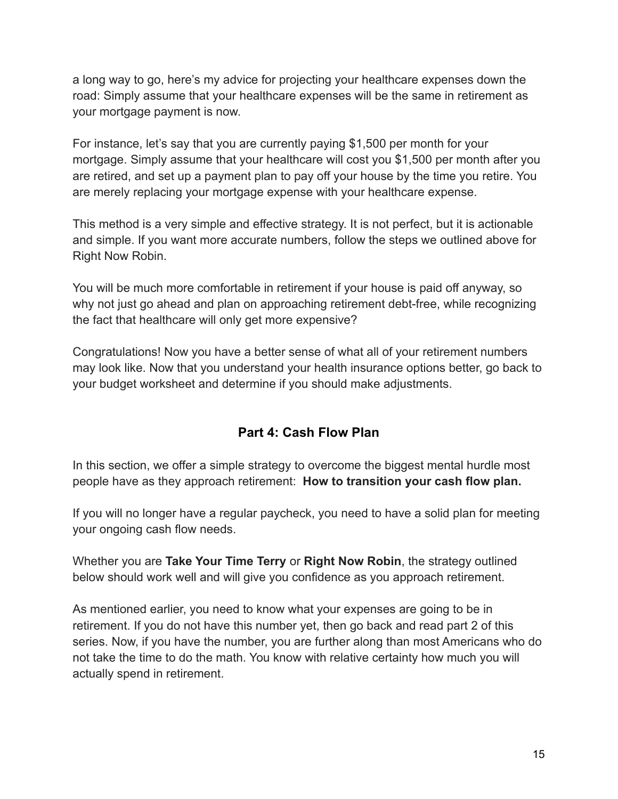a long way to go, here's my advice for projecting your healthcare expenses down the road: Simply assume that your healthcare expenses will be the same in retirement as your mortgage payment is now.

For instance, let's say that you are currently paying \$1,500 per month for your mortgage. Simply assume that your healthcare will cost you \$1,500 per month after you are retired, and set up a payment plan to pay off your house by the time you retire. You are merely replacing your mortgage expense with your healthcare expense.

This method is a very simple and effective strategy. It is not perfect, but it is actionable and simple. If you want more accurate numbers, follow the steps we outlined above for Right Now Robin.

You will be much more comfortable in retirement if your house is paid off anyway, so why not just go ahead and plan on approaching retirement debt-free, while recognizing the fact that healthcare will only get more expensive?

Congratulations! Now you have a better sense of what all of your retirement numbers may look like. Now that you understand your health insurance options better, go back to your budget worksheet and determine if you should make adjustments.

## **Part 4: Cash Flow Plan**

In this section, we offer a simple strategy to overcome the biggest mental hurdle most people have as they approach retirement: **How to transition your cash flow plan.**

If you will no longer have a regular paycheck, you need to have a solid plan for meeting your ongoing cash flow needs.

Whether you are **Take Your Time Terry** or **Right Now Robin**, the strategy outlined below should work well and will give you confidence as you approach retirement.

As mentioned earlier, you need to know what your expenses are going to be in retirement. If you do not have this number yet, then go back and read part 2 of this series. Now, if you have the number, you are further along than most Americans who do not take the time to do the math. You know with relative certainty how much you will actually spend in retirement.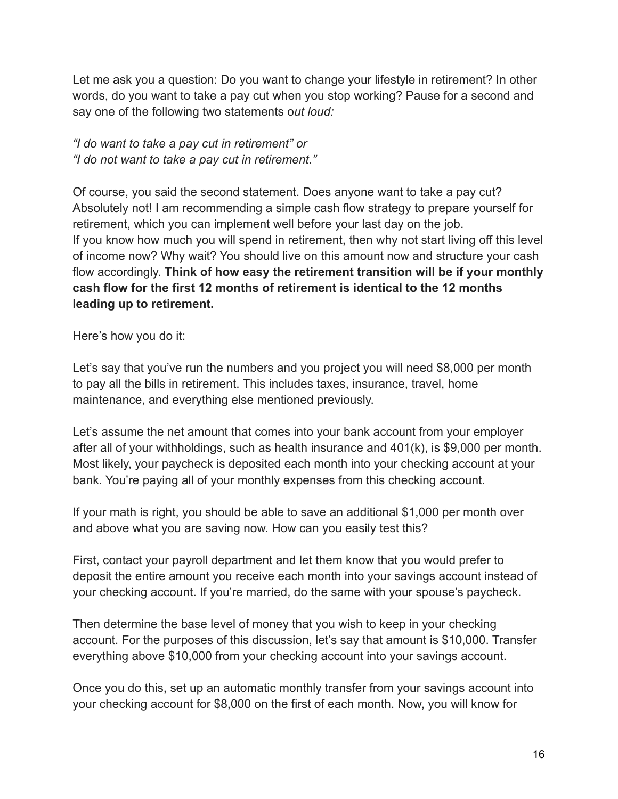Let me ask you a question: Do you want to change your lifestyle in retirement? In other words, do you want to take a pay cut when you stop working? Pause for a second and say one of the following two statements o*ut loud:*

*"I do want to take a pay cut in retirement" or "I do not want to take a pay cut in retirement."*

Of course, you said the second statement. Does anyone want to take a pay cut? Absolutely not! I am recommending a simple cash flow strategy to prepare yourself for retirement, which you can implement well before your last day on the job. If you know how much you will spend in retirement, then why not start living off this level of income now? Why wait? You should live on this amount now and structure your cash flow accordingly. **Think of how easy the retirement transition will be if your monthly cash flow for the first 12 months of retirement is identical to the 12 months leading up to retirement.**

Here's how you do it:

Let's say that you've run the numbers and you project you will need \$8,000 per month to pay all the bills in retirement. This includes taxes, insurance, travel, home maintenance, and everything else mentioned previously.

Let's assume the net amount that comes into your bank account from your employer after all of your withholdings, such as health insurance and 401(k), is \$9,000 per month. Most likely, your paycheck is deposited each month into your checking account at your bank. You're paying all of your monthly expenses from this checking account.

If your math is right, you should be able to save an additional \$1,000 per month over and above what you are saving now. How can you easily test this?

First, contact your payroll department and let them know that you would prefer to deposit the entire amount you receive each month into your savings account instead of your checking account. If you're married, do the same with your spouse's paycheck.

Then determine the base level of money that you wish to keep in your checking account. For the purposes of this discussion, let's say that amount is \$10,000. Transfer everything above \$10,000 from your checking account into your savings account.

Once you do this, set up an automatic monthly transfer from your savings account into your checking account for \$8,000 on the first of each month. Now, you will know for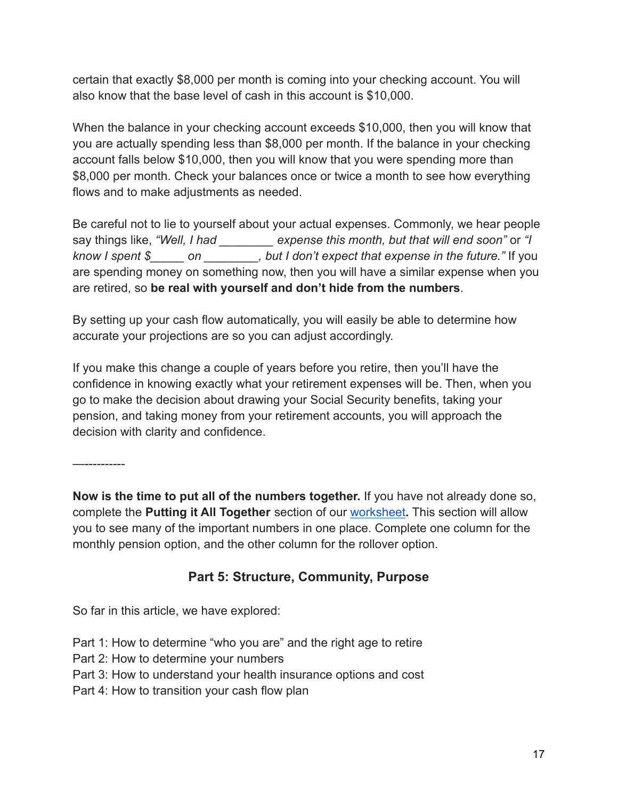certain that exactly \$8,000 per month is coming into your checking account. You will also know that the base level of cash in this account is \$10,000.

When the balance in your checking account exceeds \$10,000, then you will know that you are actually spending less than \$8,000 per month. If the balance in your checking account falls below \$10,000, then you will know that you were spending more than \$8,000 per month. Check your balances once or twice a month to see how everything flows and to make adjustments as needed.

Be careful not to lie to yourself about your actual expenses. Commonly, we hear people say things like, *"Well, I had \_\_\_\_\_\_\_\_ expense this month, but that will end soon"* or *"I know I spent \$\_\_\_\_\_ on \_\_\_\_\_\_\_\_, but I don't expect that expense in the future."* If you are spending money on something now, then you will have a similar expense when you are retired, so **be real with yourself and don't hide from the numbers**.

By setting up your cash flow automatically, you will easily be able to determine how accurate your projections are so you can adjust accordingly.

If you make this change a couple of years before you retire, then you'll have the confidence in knowing exactly what your retirement expenses will be. Then, when you go to make the decision about drawing your Social Security benefits, taking your pension, and taking money from your retirement accounts, you will approach the decision with clarity and confidence.

—----------

**Now is the time to put all of the numbers together.** If you have not already done so, complete the **Putting it All Together** section of our [worksheet](https://www.larsonwealthmgt.com/files/lwm_retirement_worksheet_-_pdf_-_2022.pdf)**.** This section will allow you to see many of the important numbers in one place. Complete one column for the monthly pension option, and the other column for the rollover option.

## **Part 5: Structure, Community, Purpose**

So far in this article, we have explored:

- Part 1: How to determine "who you are" and the right age to retire
- Part 2: How to determine your numbers
- Part 3: How to understand your health insurance options and cost
- Part 4: How to transition your cash flow plan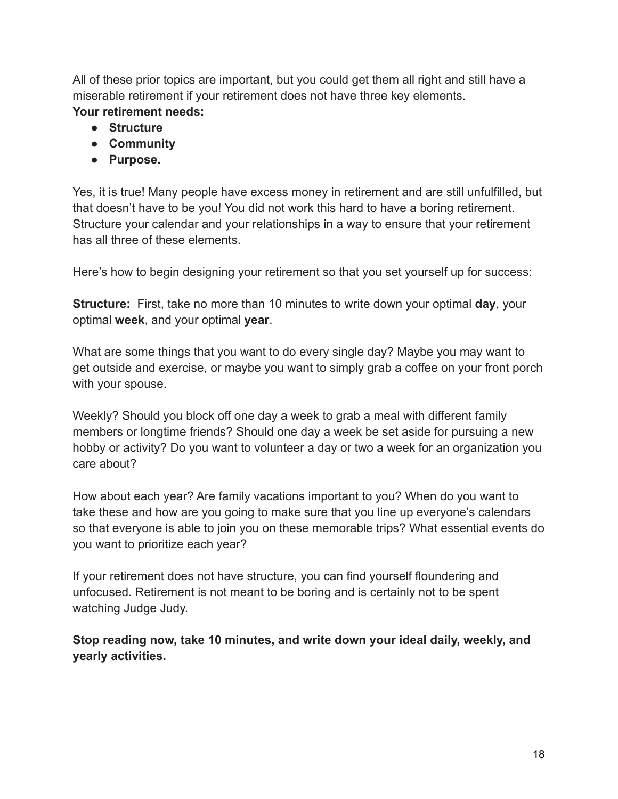All of these prior topics are important, but you could get them all right and still have a miserable retirement if your retirement does not have three key elements. **Your retirement needs:**

- **● Structure**
- **● Community**
- **● Purpose.**

Yes, it is true! Many people have excess money in retirement and are still unfulfilled, but that doesn't have to be you! You did not work this hard to have a boring retirement. Structure your calendar and your relationships in a way to ensure that your retirement has all three of these elements.

Here's how to begin designing your retirement so that you set yourself up for success:

**Structure:** First, take no more than 10 minutes to write down your optimal **day**, your optimal **week**, and your optimal **year**.

What are some things that you want to do every single day? Maybe you may want to get outside and exercise, or maybe you want to simply grab a coffee on your front porch with your spouse.

Weekly? Should you block off one day a week to grab a meal with different family members or longtime friends? Should one day a week be set aside for pursuing a new hobby or activity? Do you want to volunteer a day or two a week for an organization you care about?

How about each year? Are family vacations important to you? When do you want to take these and how are you going to make sure that you line up everyone's calendars so that everyone is able to join you on these memorable trips? What essential events do you want to prioritize each year?

If your retirement does not have structure, you can find yourself floundering and unfocused. Retirement is not meant to be boring and is certainly not to be spent watching Judge Judy.

**Stop reading now, take 10 minutes, and write down your ideal daily, weekly, and yearly activities.**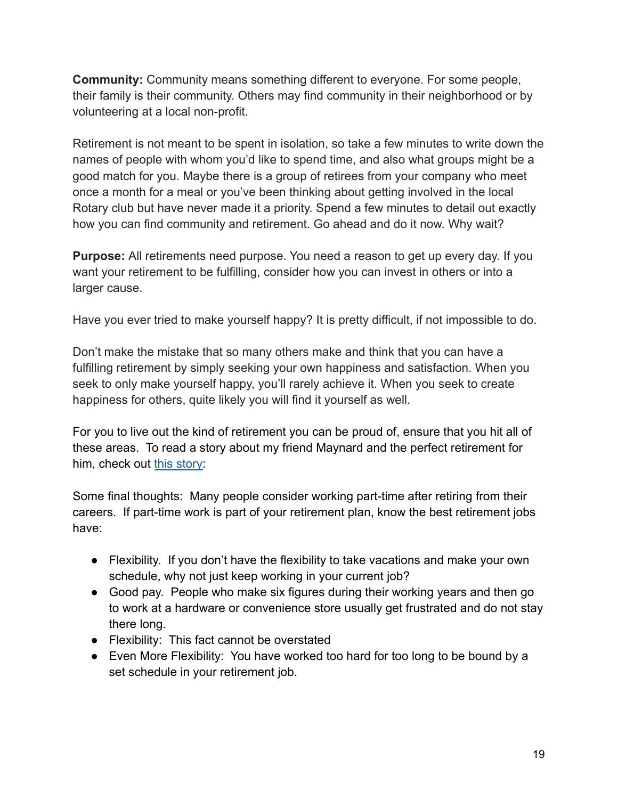**Community:** Community means something different to everyone. For some people, their family is their community. Others may find community in their neighborhood or by volunteering at a local non-profit.

Retirement is not meant to be spent in isolation, so take a few minutes to write down the names of people with whom you'd like to spend time, and also what groups might be a good match for you. Maybe there is a group of retirees from your company who meet once a month for a meal or you've been thinking about getting involved in the local Rotary club but have never made it a priority. Spend a few minutes to detail out exactly how you can find community and retirement. Go ahead and do it now. Why wait?

**Purpose:** All retirements need purpose. You need a reason to get up every day. If you want your retirement to be fulfilling, consider how you can invest in others or into a larger cause.

Have you ever tried to make yourself happy? It is pretty difficult, if not impossible to do.

Don't make the mistake that so many others make and think that you can have a fulfilling retirement by simply seeking your own happiness and satisfaction. When you seek to only make yourself happy, you'll rarely achieve it. When you seek to create happiness for others, quite likely you will find it yourself as well.

For you to live out the kind of retirement you can be proud of, ensure that you hit all of these areas. To read a story about my friend Maynard and the perfect retirement for him, check out [this story:](https://www.larsonwealthmgt.com/blog-01/perfect-retirement)

Some final thoughts: Many people consider working part-time after retiring from their careers. If part-time work is part of your retirement plan, know the best retirement jobs have:

- Flexibility. If you don't have the flexibility to take vacations and make your own schedule, why not just keep working in your current job?
- Good pay. People who make six figures during their working years and then go to work at a hardware or convenience store usually get frustrated and do not stay there long.
- Flexibility: This fact cannot be overstated
- Even More Flexibility: You have worked too hard for too long to be bound by a set schedule in your retirement job.